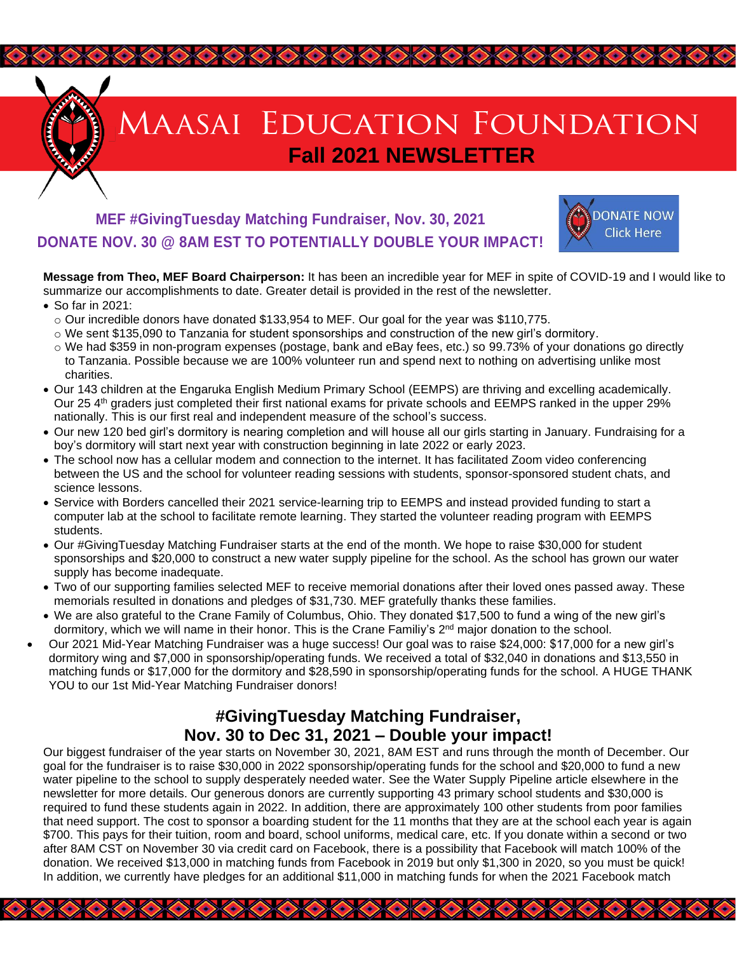

# **AAASAI EDUCATION FOUNDATION Fall 2021 NEWSLETTER**

## **MEF #GivingTuesday Matching Fundraiser, Nov. 30, 2021 DONATE NOV. 30 @ 8AM EST TO POTENTIALLY DOUBLE YOUR IMPACT!**



**Message from Theo, MEF Board Chairperson:** It has been an incredible year for MEF in spite of COVID-19 and I would like to summarize our accomplishments to date. Greater detail is provided in the rest of the newsletter.

 $\begin{picture}(100,100) \put(0,0){\line(1,0){10}} \put(0,0){\line(1,0){10}} \put(0,0){\line(1,0){10}} \put(0,0){\line(1,0){10}} \put(0,0){\line(1,0){10}} \put(0,0){\line(1,0){10}} \put(0,0){\line(1,0){10}} \put(0,0){\line(1,0){10}} \put(0,0){\line(1,0){10}} \put(0,0){\line(1,0){10}} \put(0,0){\line(1,0){10}} \put(0,0){\line(1,0){10}} \put($ 

- So far in 2021:
	- $\circ$  Our incredible donors have donated \$133,954 to MEF. Our goal for the year was \$110,775.
	- $\circ$  We sent \$135,090 to Tanzania for student sponsorships and construction of the new girl's dormitory.
	- o We had \$359 in non-program expenses (postage, bank and eBay fees, etc.) so 99.73% of your donations go directly to Tanzania. Possible because we are 100% volunteer run and spend next to nothing on advertising unlike most charities.
- Our 143 children at the Engaruka English Medium Primary School (EEMPS) are thriving and excelling academically. Our 25 4<sup>th</sup> graders just completed their first national exams for private schools and EEMPS ranked in the upper 29% nationally. This is our first real and independent measure of the school's success.
- Our new 120 bed girl's dormitory is nearing completion and will house all our girls starting in January. Fundraising for a boy's dormitory will start next year with construction beginning in late 2022 or early 2023.
- The school now has a cellular modem and connection to the internet. It has facilitated Zoom video conferencing between the US and the school for volunteer reading sessions with students, sponsor-sponsored student chats, and science lessons.
- Service with Borders cancelled their 2021 service-learning trip to EEMPS and instead provided funding to start a computer lab at the school to facilitate remote learning. They started the volunteer reading program with EEMPS students.
- Our #GivingTuesday Matching Fundraiser starts at the end of the month. We hope to raise \$30,000 for student sponsorships and \$20,000 to construct a new water supply pipeline for the school. As the school has grown our water supply has become inadequate.
- Two of our supporting families selected MEF to receive memorial donations after their loved ones passed away. These memorials resulted in donations and pledges of \$31,730. MEF gratefully thanks these families.
- We are also grateful to the Crane Family of Columbus, Ohio. They donated \$17,500 to fund a wing of the new girl's dormitory, which we will name in their honor. This is the Crane Familiy's 2<sup>nd</sup> major donation to the school.
- Our 2021 Mid-Year Matching Fundraiser was a huge success! Our goal was to raise \$24,000: \$17,000 for a new girl's dormitory wing and \$7,000 in sponsorship/operating funds. We received a total of \$32,040 in donations and \$13,550 in matching funds or \$17,000 for the dormitory and \$28,590 in sponsorship/operating funds for the school. A HUGE THANK YOU to our 1st Mid-Year Matching Fundraiser donors!

### **#GivingTuesday Matching Fundraiser, Nov. 30 to Dec 31, 2021 – Double your impact!**

Our biggest fundraiser of the year starts on November 30, 2021, 8AM EST and runs through the month of December. Our goal for the fundraiser is to raise \$30,000 in 2022 sponsorship/operating funds for the school and \$20,000 to fund a new water pipeline to the school to supply desperately needed water. See the Water Supply Pipeline article elsewhere in the newsletter for more details. Our generous donors are currently supporting 43 primary school students and \$30,000 is required to fund these students again in 2022. In addition, there are approximately 100 other students from poor families that need support. The cost to sponsor a boarding student for the 11 months that they are at the school each year is again \$700. This pays for their tuition, room and board, school uniforms, medical care, etc. If you donate within a second or two after 8AM CST on November 30 via credit card on Facebook, there is a possibility that Facebook will match 100% of the donation. We received \$13,000 in matching funds from Facebook in 2019 but only \$1,300 in 2020, so you must be quick! In addition, we currently have pledges for an additional \$11,000 in matching funds for when the 2021 Facebook match

 $\langle \cdot \rangle \langle \cdot \rangle$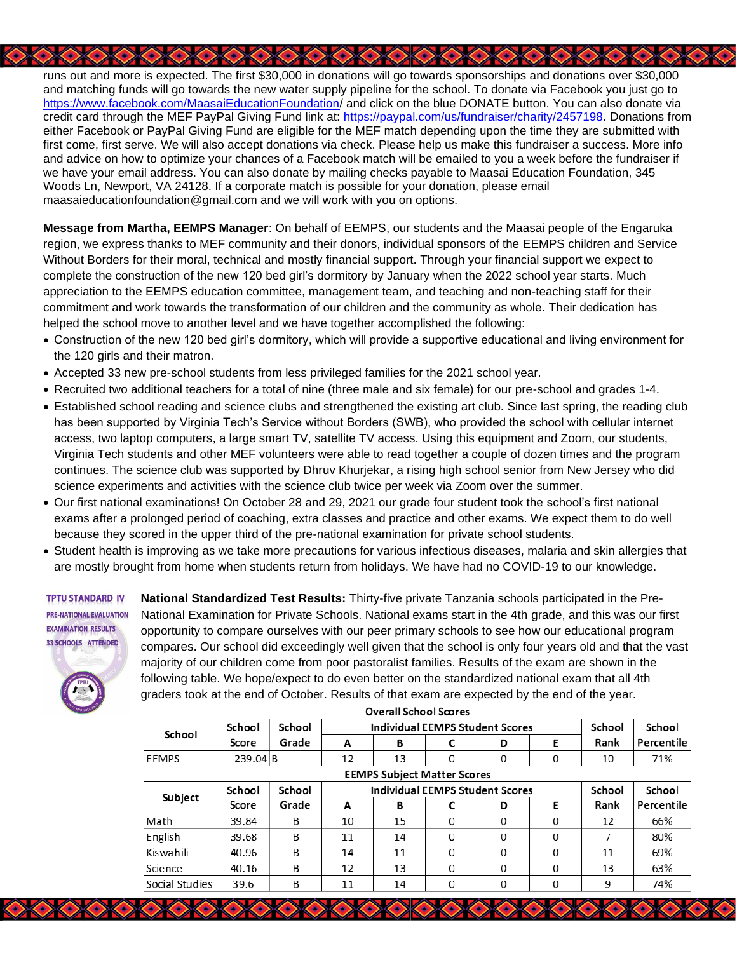runs out and more is expected. The first \$30,000 in donations will go towards sponsorships and donations over \$30,000 and matching funds will go towards the new water supply pipeline for the school. To donate via Facebook you just go to [https://www.facebook.com/MaasaiEducationFoundation/](https://www.facebook.com/MaasaiEducationFoundation) and click on the blue DONATE button. You can also donate via credit card through the MEF PayPal Giving Fund link at: [https://paypal.com/us/fundraiser/charity/2457198.](https://paypal.com/us/fundraiser/charity/2457198) Donations from either Facebook or PayPal Giving Fund are eligible for the MEF match depending upon the time they are submitted with first come, first serve. We will also accept donations via check. Please help us make this fundraiser a success. More info and advice on how to optimize your chances of a Facebook match will be emailed to you a week before the fundraiser if we have your email address. You can also donate by mailing checks payable to Maasai Education Foundation, 345 Woods Ln, Newport, VA 24128. If a corporate match is possible for your donation, please email maasaieducationfoundation@gmail.com and we will work with you on options.

**Message from Martha, EEMPS Manager**: On behalf of EEMPS, our students and the Maasai people of the Engaruka region, we express thanks to MEF community and their donors, individual sponsors of the EEMPS children and Service Without Borders for their moral, technical and mostly financial support. Through your financial support we expect to complete the construction of the new 120 bed girl's dormitory by January when the 2022 school year starts. Much appreciation to the EEMPS education committee, management team, and teaching and non-teaching staff for their commitment and work towards the transformation of our children and the community as whole. Their dedication has helped the school move to another level and we have together accomplished the following:

- Construction of the new 120 bed girl's dormitory, which will provide a supportive educational and living environment for the 120 girls and their matron.
- Accepted 33 new pre-school students from less privileged families for the 2021 school year.
- Recruited two additional teachers for a total of nine (three male and six female) for our pre-school and grades 1-4.
- Established school reading and science clubs and strengthened the existing art club. Since last spring, the reading club has been supported by Virginia Tech's Service without Borders (SWB), who provided the school with cellular internet access, two laptop computers, a large smart TV, satellite TV access. Using this equipment and Zoom, our students, Virginia Tech students and other MEF volunteers were able to read together a couple of dozen times and the program continues. The science club was supported by Dhruv Khurjekar, a rising high school senior from New Jersey who did science experiments and activities with the science club twice per week via Zoom over the summer.
- Our first national examinations! On October 28 and 29, 2021 our grade four student took the school's first national exams after a prolonged period of coaching, extra classes and practice and other exams. We expect them to do well because they scored in the upper third of the pre-national examination for private school students.
- Student health is improving as we take more precautions for various infectious diseases, malaria and skin allergies that are mostly brought from home when students return from holidays. We have had no COVID-19 to our knowledge.



**National Standardized Test Results:** Thirty-five private Tanzania schools participated in the Pre-National Examination for Private Schools. National exams start in the 4th grade, and this was our first opportunity to compare ourselves with our peer primary schools to see how our educational program compares. Our school did exceedingly well given that the school is only four years old and that the vast majority of our children come from poor pastoralist families. Results of the exam are shown in the following table. We hope/expect to do even better on the standardized national exam that all 4th graders took at the end of October. Results of that exam are expected by the end of the year.

|                                    |         |        |                                        | <b>Overall School Scores</b> |   |   |   |        |            |
|------------------------------------|---------|--------|----------------------------------------|------------------------------|---|---|---|--------|------------|
| School                             | School  | School | <b>Individual EEMPS Student Scores</b> |                              |   |   |   | School | School     |
|                                    | Score   | Grade  | A                                      | В                            |   | D | E | Rank   | Percentile |
| EEMPS                              | 239.04B |        | 12                                     | 13                           | 0 | 0 | 0 | 10     | 71%        |
| <b>EEMPS Subject Matter Scores</b> |         |        |                                        |                              |   |   |   |        |            |
| Subject                            | School  | School | <b>Individual EEMPS Student Scores</b> |                              |   |   |   | School | School     |
|                                    | Score   | Grade  | A                                      | В                            | C | D | E | Rank   | Percentile |
| Math                               | 39.84   | B      | 10                                     | 15                           | 0 | 0 | 0 | 12     | 66%        |
| English                            | 39.68   | B      | 11                                     | 14                           | 0 | 0 | 0 |        | 80%        |
| Kiswahili                          | 40.96   | B      | 14                                     | 11                           | 0 | 0 | 0 | 11     | 69%        |
| Science                            | 40.16   | B      | 12                                     | 13                           | 0 | 0 | 0 | 13     | 63%        |
| Social Studies                     | 39.6    | B      | 11                                     | 14                           | 0 | 0 | 0 | 9      | 74%        |

**A DO COOL AND COOL OF A DOOR OF A DISCOVERED**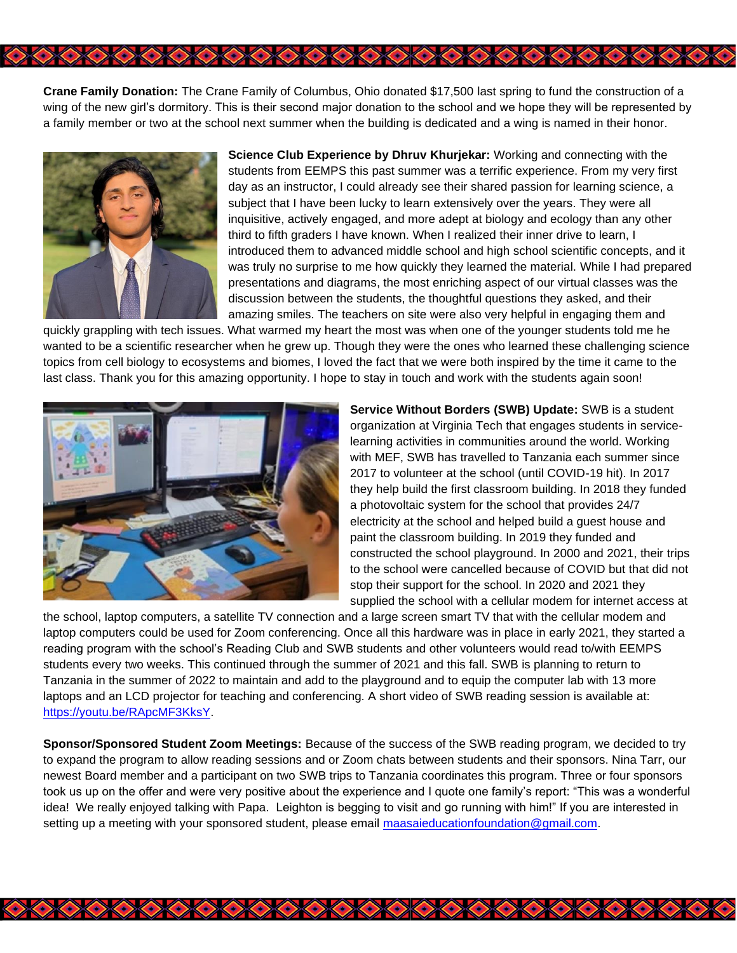**Crane Family Donation:** The Crane Family of Columbus, Ohio donated \$17,500 last spring to fund the construction of a wing of the new girl's dormitory. This is their second major donation to the school and we hope they will be represented by a family member or two at the school next summer when the building is dedicated and a wing is named in their honor.

うめのめのめのめのめのめのめのめのめのめ



**Science Club Experience by Dhruv Khurjekar:** Working and connecting with the students from EEMPS this past summer was a terrific experience. From my very first day as an instructor, I could already see their shared passion for learning science, a subject that I have been lucky to learn extensively over the years. They were all inquisitive, actively engaged, and more adept at biology and ecology than any other third to fifth graders I have known. When I realized their inner drive to learn, I introduced them to advanced middle school and high school scientific concepts, and it was truly no surprise to me how quickly they learned the material. While I had prepared presentations and diagrams, the most enriching aspect of our virtual classes was the discussion between the students, the thoughtful questions they asked, and their amazing smiles. The teachers on site were also very helpful in engaging them and

quickly grappling with tech issues. What warmed my heart the most was when one of the younger students told me he wanted to be a scientific researcher when he grew up. Though they were the ones who learned these challenging science topics from cell biology to ecosystems and biomes, I loved the fact that we were both inspired by the time it came to the last class. Thank you for this amazing opportunity. I hope to stay in touch and work with the students again soon!



**Service Without Borders (SWB) Update:** SWB is a student organization at Virginia Tech that engages students in servicelearning activities in communities around the world. Working with MEF, SWB has travelled to Tanzania each summer since 2017 to volunteer at the school (until COVID-19 hit). In 2017 they help build the first classroom building. In 2018 they funded a photovoltaic system for the school that provides 24/7 electricity at the school and helped build a guest house and paint the classroom building. In 2019 they funded and constructed the school playground. In 2000 and 2021, their trips to the school were cancelled because of COVID but that did not stop their support for the school. In 2020 and 2021 they supplied the school with a cellular modem for internet access at

the school, laptop computers, a satellite TV connection and a large screen smart TV that with the cellular modem and laptop computers could be used for Zoom conferencing. Once all this hardware was in place in early 2021, they started a reading program with the school's Reading Club and SWB students and other volunteers would read to/with EEMPS students every two weeks. This continued through the summer of 2021 and this fall. SWB is planning to return to Tanzania in the summer of 2022 to maintain and add to the playground and to equip the computer lab with 13 more laptops and an LCD projector for teaching and conferencing. A short video of SWB reading session is available at: [https://youtu.be/RApcMF3KksY.](https://youtu.be/RApcMF3KksY)

**Sponsor/Sponsored Student Zoom Meetings:** Because of the success of the SWB reading program, we decided to try to expand the program to allow reading sessions and or Zoom chats between students and their sponsors. Nina Tarr, our newest Board member and a participant on two SWB trips to Tanzania coordinates this program. Three or four sponsors took us up on the offer and were very positive about the experience and I quote one family's report: "This was a wonderful idea! We really enjoyed talking with Papa. Leighton is begging to visit and go running with him!" If you are interested in setting up a meeting with your sponsored student, please email [maasaieducationfoundation@gmail.com.](mailto:Mmaasaieducationfoundation@gmail.com)

**A RANGKA KAKA PARA KABUPATEN PARA K**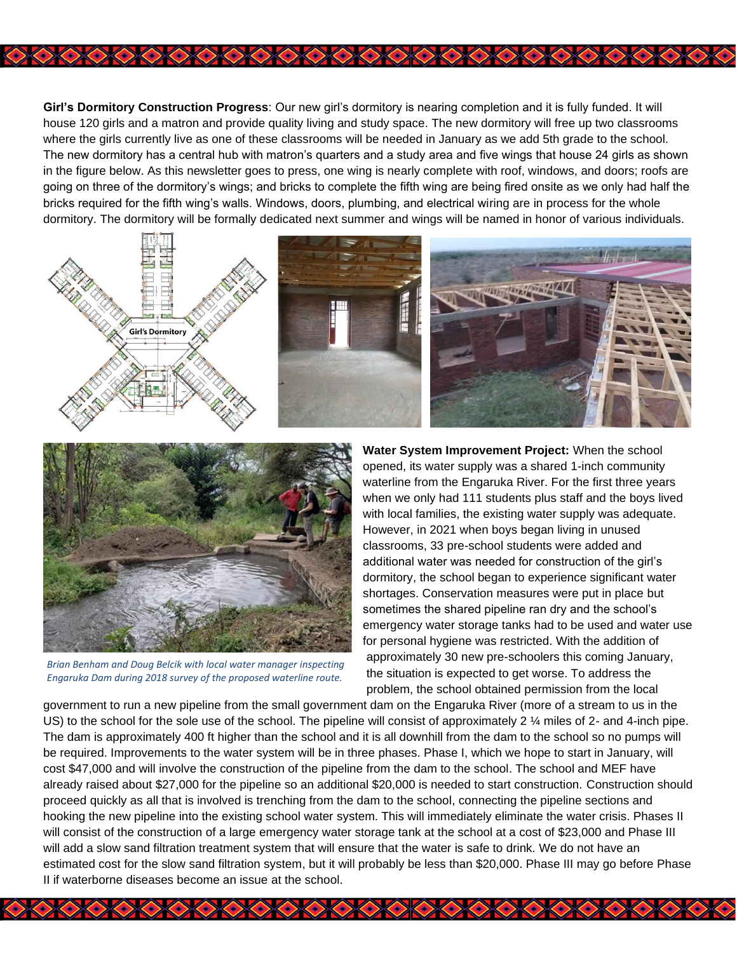**Girl's Dormitory Construction Progress**: Our new girl's dormitory is nearing completion and it is fully funded. It will house 120 girls and a matron and provide quality living and study space. The new dormitory will free up two classrooms where the girls currently live as one of these classrooms will be needed in January as we add 5th grade to the school. The new dormitory has a central hub with matron's quarters and a study area and five wings that house 24 girls as shown in the figure below. As this newsletter goes to press, one wing is nearly complete with roof, windows, and doors; roofs are going on three of the dormitory's wings; and bricks to complete the fifth wing are being fired onsite as we only had half the bricks required for the fifth wing's walls. Windows, doors, plumbing, and electrical wiring are in process for the whole dormitory. The dormitory will be formally dedicated next summer and wings will be named in honor of various individuals.

8000000000000000000000000





*Brian Benham and Doug Belcik with local water manager inspecting Engaruka Dam during 2018 survey of the proposed waterline route.*

**Water System Improvement Project:** When the school opened, its water supply was a shared 1-inch community waterline from the Engaruka River. For the first three years when we only had 111 students plus staff and the boys lived with local families, the existing water supply was adequate. However, in 2021 when boys began living in unused classrooms, 33 pre-school students were added and additional water was needed for construction of the girl's dormitory, the school began to experience significant water shortages. Conservation measures were put in place but sometimes the shared pipeline ran dry and the school's emergency water storage tanks had to be used and water use for personal hygiene was restricted. With the addition of approximately 30 new pre-schoolers this coming January, the situation is expected to get worse. To address the problem, the school obtained permission from the local

government to run a new pipeline from the small government dam on the Engaruka River (more of a stream to us in the US) to the school for the sole use of the school. The pipeline will consist of approximately 2 ¼ miles of 2- and 4-inch pipe. The dam is approximately 400 ft higher than the school and it is all downhill from the dam to the school so no pumps will be required. Improvements to the water system will be in three phases. Phase I, which we hope to start in January, will cost \$47,000 and will involve the construction of the pipeline from the dam to the school. The school and MEF have already raised about \$27,000 for the pipeline so an additional \$20,000 is needed to start construction. Construction should proceed quickly as all that is involved is trenching from the dam to the school, connecting the pipeline sections and hooking the new pipeline into the existing school water system. This will immediately eliminate the water crisis. Phases II will consist of the construction of a large emergency water storage tank at the school at a cost of \$23,000 and Phase III will add a slow sand filtration treatment system that will ensure that the water is safe to drink. We do not have an estimated cost for the slow sand filtration system, but it will probably be less than \$20,000. Phase III may go before Phase II if waterborne diseases become an issue at the school.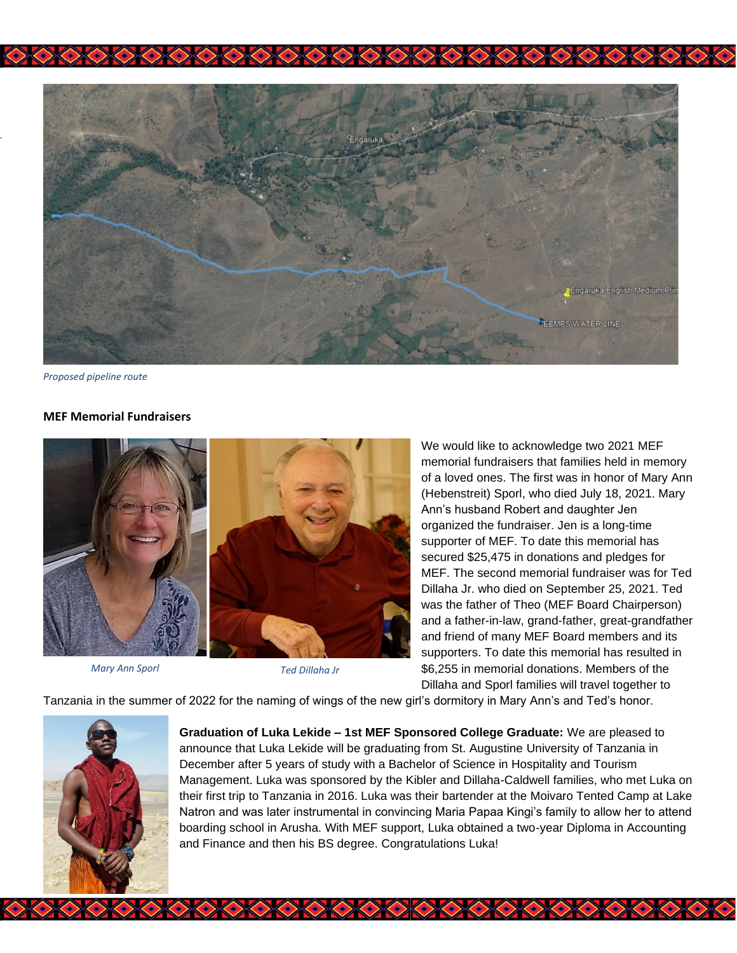

うめのめのめのめのかめの

*Proposed pipeline route*

*.*

#### **MEF Memorial Fundraisers**



*Mary Ann Sporl Ted Dillaha Jr*

We would like to acknowledge two 2021 MEF memorial fundraisers that families held in memory of a loved ones. The first was in honor of Mary Ann (Hebenstreit) Sporl, who died July 18, 2021. Mary Ann's husband Robert and daughter Jen organized the fundraiser. Jen is a long-time supporter of MEF. To date this memorial has secured \$25,475 in donations and pledges for MEF. The second memorial fundraiser was for Ted Dillaha Jr. who died on September 25, 2021. Ted was the father of Theo (MEF Board Chairperson) and a father-in-law, grand-father, great-grandfather and friend of many MEF Board members and its supporters. To date this memorial has resulted in \$6,255 in memorial donations. Members of the Dillaha and Sporl families will travel together to

Tanzania in the summer of 2022 for the naming of wings of the new girl's dormitory in Mary Ann's and Ted's honor.



**Graduation of Luka Lekide – 1st MEF Sponsored College Graduate:** We are pleased to announce that Luka Lekide will be graduating from St. Augustine University of Tanzania in December after 5 years of study with a Bachelor of Science in Hospitality and Tourism Management. Luka was sponsored by the Kibler and Dillaha-Caldwell families, who met Luka on their first trip to Tanzania in 2016. Luka was their bartender at the Moivaro Tented Camp at Lake Natron and was later instrumental in convincing Maria Papaa Kingi's family to allow her to attend boarding school in Arusha. With MEF support, Luka obtained a two-year Diploma in Accounting and Finance and then his BS degree. Congratulations Luka!